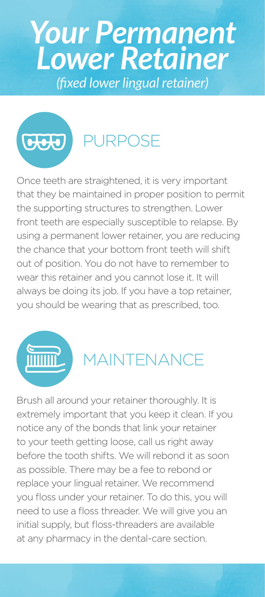# *(fixed lower lingual retainer) Your Permanent Lower Retainer*

## PURPOSE

Once teeth are straightened, it is very important that they be maintained in proper position to permit the supporting structures to strengthen. Lower front teeth are especially susceptible to relapse. By using a permanent lower retainer, you are reducing the chance that your bottom front teeth will shift out of position. You do not have to remember to wear this retainer and you cannot lose it. It will always be doing its job. If you have a top retainer, you should be wearing that as prescribed, too.



 $G(x)$ 

#### MAINTENANCE

Brush all around your retainer thoroughly. It is extremely important that you keep it clean. If you notice any of the bonds that link your retainer to your teeth getting loose, call us right away before the tooth shifts. We will rebond it as soon as possible. There may be a fee to rebond or replace your lingual retainer. We recommend you floss under your retainer. To do this, you will need to use a floss threader. We will give you an initial supply, but floss-threaders are available at any pharmacy in the dental-care section.